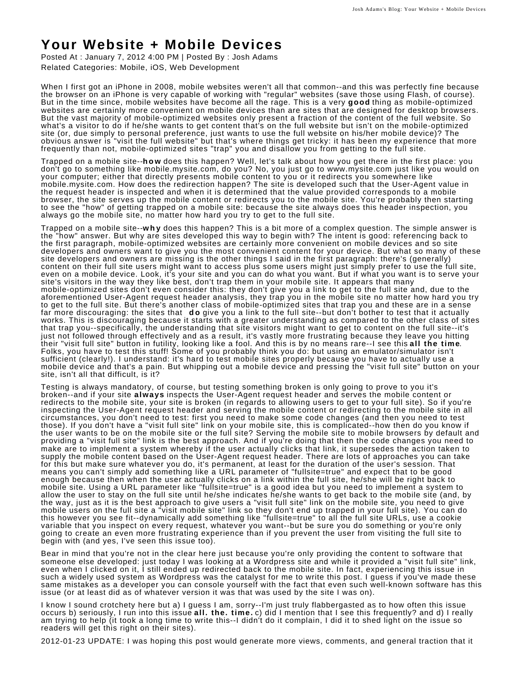## **Your Website + Mobile Devices**

Posted At : January 7, 2012 4:00 PM | Posted By : Josh Adams Related Categories: Mobile, iOS, Web Development

When I first got an iPhone in 2008, mobile websites weren't all that common--and this was perfectly fine because the browser on an iPhone is very capable of working with "regular" websites (save those using Flash, of course). But in the time since, mobile websites have become all the rage. This is a very **good** thing as mobile-optimized websites are certainly more convenient on mobile devices than are sites that are designed for desktop browsers. But the vast majority of mobile-optimized websites only present a fraction of the content of the full website. So what's a visitor to do if he/she wants to get content that's on the full website but isn't on the mobile-optimized site (or, due simply to personal preference, just wants to use the full website on his/her mobile device)? The obvious answer is "visit the full website" but that's where things get tricky: it has been my experience that more frequently than not, mobile-optimized sites "trap" you and disallow you from getting to the full site.

Trapped on a mobile site--**how** does this happen? Well, let's talk about how you get there in the first place: you don't go to something like mobile.mysite.com, do you? No, you just go to www.mysite.com just like you would on your computer; either that directly presents mobile content to you or it redirects you somewhere like mobile.mysite.com. How does the redirection happen? The site is developed such that the User-Agent value in the request header is inspected and when it is determined that the value provided corresponds to a mobile browser, the site serves up the mobile content or redirects you to the mobile site. You're probably then starting to see the "how" of getting trapped on a mobile site: because the site always does this header inspection, you always go the mobile site, no matter how hard you try to get to the full site.

Trapped on a mobile site--**why** does this happen? This is a bit more of a complex question. The simple answer is the "how" answer. But why are sites developed this way to begin with? The intent is good: referencing back to the first paragraph, mobile-optimized websites are certainly more convenient on mobile devices and so site developers and owners want to give you the most convenient content for your device. But what so many of these site developers and owners are missing is the other things I said in the first paragraph: there's (generally) content on their full site users might want to access plus some users might just simply prefer to use the full site, even on a mobile device. Look, it's your site and you can do what you want. But if what you want is to serve your site's visitors in the way they like best, don't trap them in your mobile site. It appears that many mobile-optimized sites don't even consider this: they don't give you a link to get to the full site and, due to the aforementioned User-Agent request header analysis, they trap you in the mobile site no matter how hard you try to get to the full site. But there's another class of mobile-optimized sites that trap you and these are in a sense far more discouraging: the sites that **d o** give you a link to the full site--but don't bother to test that it actually works. This is discouraging because it starts with a greater understanding as compared to the other class of sites that trap you--specifically, the understanding that site visitors might want to get to content on the full site--it's just not followed through effectively and as a result, it's vastly more frustrating because they leave you hitting their "visit full site" button in futility, looking like a fool. And this is by no means rare--I see this **all the time**. Folks, you have to test this stuff! Some of you probably think you do: but using an emulator/simulator isn't sufficient (clearly!). I understand: it's hard to test mobile sites properly because you have to actually use a mobile device and that's a pain. But whipping out a mobile device and pressing the "visit full site" button on your site, isn't all that difficult, is it?

Testing is always mandatory, of course, but testing something broken is only going to prove to you it's broken--and if your site **always** inspects the User-Agent request header and serves the mobile content or redirects to the mobile site, your site is broken (in regards to allowing users to get to your full site). So if you're inspecting the User-Agent request header and serving the mobile content or redirecting to the mobile site in all circumstances, you don't need to test: first you need to make some code changes (and then you need to test those). If you don't have a "visit full site" link on your mobile site, this is complicated--how then do you know if the user wants to be on the mobile site or the full site? Serving the mobile site to mobile browsers by default and providing a "visit full site" link is the best approach. And if you're doing that then the code changes you need to make are to implement a system whereby if the user actually clicks that link, it supersedes the action taken to supply the mobile content based on the User-Agent request header. There are lots of approaches you can take for this but make sure whatever you do, it's permanent, at least for the duration of the user's session. That means you can't simply add something like a URL parameter of "fullsite=true" and expect that to be good enough because then when the user actually clicks on a link within the full site, he/she will be right back to mobile site. Using a URL parameter like "fullsite=true" is a good idea but you need to implement a system to allow the user to stay on the full site until he/she indicates he/she wants to get back to the mobile site (and, by the way, just as it is the best approach to give users a "visit full site" link on the mobile site, you need to give mobile users on the full site a "visit mobile site" link so they don't end up trapped in your full site). You can do this however you see fit--dynamically add something like "fullsite=true" to all the full site URLs, use a cookie variable that you inspect on every request, whatever you want--but be sure you do something or you're only going to create an even more frustrating experience than if you prevent the user from visiting the full site to begin with (and yes, I've seen this issue too).

Bear in mind that you're not in the clear here just because you're only providing the content to software that someone else developed: just today I was looking at a Wordpress site and while it provided a "visit full site" link, even when I clicked on it, I still ended up redirected back to the mobile site. In fact, experiencing this issue in such a widely used system as Wordpress was the catalyst for me to write this post. I guess if you've made these same mistakes as a developer you can console yourself with the fact that even such well-known software has this issue (or at least did as of whatever version it was that was used by the site I was on).

I know I sound crotchety here but a) I guess I am, sorry--I'm just truly flabbergasted as to how often this issue occurs b) seriously, I run into this issue **all. the. time.** c) did I mention that I see this frequently? and d) I really am trying to help (it took a long time to write this--I didn't do it complain, I did it to shed light on the issue so readers will get this right on their sites).

2012-01-23 UPDATE: I was hoping this post would generate more views, comments, and general traction that it